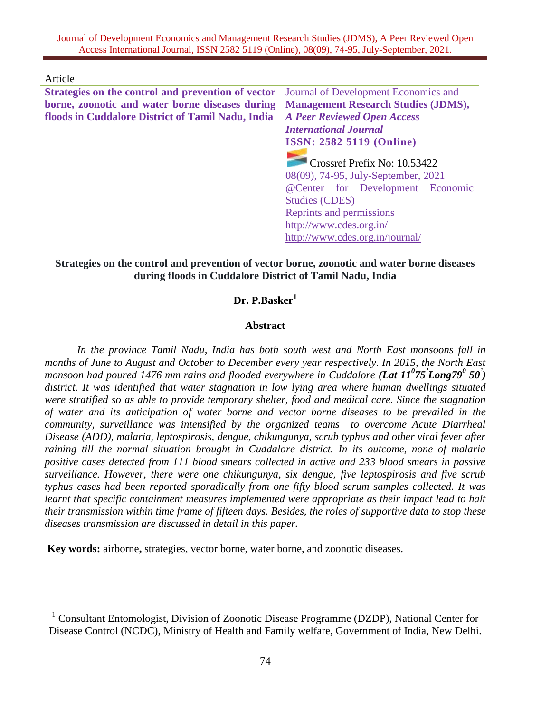Article

 $\overline{a}$ 

| <b>Strategies on the control and prevention of vector</b> Journal of Development Economics and |                                                                     |  |  |  |  |
|------------------------------------------------------------------------------------------------|---------------------------------------------------------------------|--|--|--|--|
| borne, zoonotic and water borne diseases during                                                | <b>Management Research Studies (JDMS),</b>                          |  |  |  |  |
| floods in Cuddalore District of Tamil Nadu, India                                              | <b>A Peer Reviewed Open Access</b>                                  |  |  |  |  |
|                                                                                                | <b>International Journal</b>                                        |  |  |  |  |
|                                                                                                | <b>ISSN: 2582 5119 (Online)</b>                                     |  |  |  |  |
|                                                                                                | Crossref Prefix No: 10.53422<br>08(09), 74-95, July-September, 2021 |  |  |  |  |
|                                                                                                |                                                                     |  |  |  |  |
|                                                                                                | @Center for Development Economic                                    |  |  |  |  |
|                                                                                                | <b>Studies (CDES)</b>                                               |  |  |  |  |
|                                                                                                | Reprints and permissions                                            |  |  |  |  |
|                                                                                                | http://www.cdes.org.in/                                             |  |  |  |  |
|                                                                                                | http://www.cdes.org.in/journal/                                     |  |  |  |  |

#### **Strategies on the control and prevention of vector borne, zoonotic and water borne diseases during floods in Cuddalore District of Tamil Nadu, India**

# **Dr. P.Basker<sup>1</sup>**

#### **Abstract**

*In the province Tamil Nadu, India has both south west and North East monsoons fall in months of June to August and October to December every year respectively. In 2015, the North East monsoon had poured 1476 mm rains and flooded everywhere in Cuddalore (Lat 11<sup>0</sup>75'Long79<sup>0</sup> 50') district. It was identified that water stagnation in low lying area where human dwellings situated were stratified so as able to provide temporary shelter, food and medical care. Since the stagnation of water and its anticipation of water borne and vector borne diseases to be prevailed in the community, surveillance was intensified by the organized teams to overcome Acute Diarrheal Disease (ADD), malaria, leptospirosis, dengue, chikungunya, scrub typhus and other viral fever after raining till the normal situation brought in Cuddalore district. In its outcome, none of malaria positive cases detected from 111 blood smears collected in active and 233 blood smears in passive surveillance. However, there were one chikungunya, six dengue, five leptospirosis and five scrub typhus cases had been reported sporadically from one fifty blood serum samples collected. It was learnt that specific containment measures implemented were appropriate as their impact lead to halt their transmission within time frame of fifteen days. Besides, the roles of supportive data to stop these diseases transmission are discussed in detail in this paper.*

**Key words:** airborne**,** strategies, vector borne, water borne, and zoonotic diseases.

<sup>&</sup>lt;sup>1</sup> Consultant Entomologist, Division of Zoonotic Disease Programme (DZDP), National Center for Disease Control (NCDC), Ministry of Health and Family welfare, Government of India, New Delhi.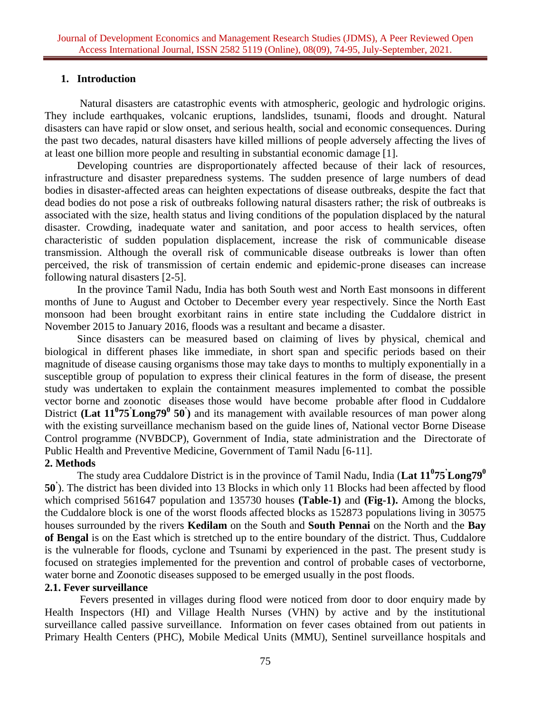#### **1. Introduction**

Natural disasters are catastrophic events with atmospheric, geologic and hydrologic origins. They include earthquakes, volcanic eruptions, landslides, tsunami, floods and drought. Natural disasters can have rapid or slow onset, and serious health, social and economic consequences. During the past two decades, natural disasters have killed millions of people adversely affecting the lives of at least one billion more people and resulting in substantial economic damage [1].

Developing countries are disproportionately affected because of their lack of resources, infrastructure and disaster preparedness systems. The sudden presence of large numbers of dead bodies in disaster-affected areas can heighten expectations of disease outbreaks, despite the fact that dead bodies do not pose a risk of outbreaks following natural disasters rather; the risk of outbreaks is associated with the size, health status and living conditions of the population displaced by the natural disaster. Crowding, inadequate water and sanitation, and poor access to health services, often characteristic of sudden population displacement, increase the risk of communicable disease transmission. Although the overall risk of communicable disease outbreaks is lower than often perceived, the risk of transmission of certain endemic and epidemic-prone diseases can increase following natural disasters [2-5].

In the province Tamil Nadu, India has both South west and North East monsoons in different months of June to August and October to December every year respectively. Since the North East monsoon had been brought exorbitant rains in entire state including the Cuddalore district in November 2015 to January 2016, floods was a resultant and became a disaster.

Since disasters can be measured based on claiming of lives by physical, chemical and biological in different phases like immediate, in short span and specific periods based on their magnitude of disease causing organisms those may take days to months to multiply exponentially in a susceptible group of population to express their clinical features in the form of disease, the present study was undertaken to explain the containment measures implemented to combat the possible vector borne and zoonotic diseases those would have become probable after flood in Cuddalore District **(Lat 11<sup>0</sup> 75'Long79<sup>0</sup> 50' )** and its management with available resources of man power along with the existing surveillance mechanism based on the guide lines of, National vector Borne Disease Control programme (NVBDCP), Government of India, state administration and the Directorate of Public Health and Preventive Medicine, Government of Tamil Nadu [6-11].

#### **2. Methods**

The study area Cuddalore District is in the province of Tamil Nadu, India (**Lat 11<sup>0</sup> 75'Long79<sup>0</sup> 50'** ). The district has been divided into 13 Blocks in which only 11 Blocks had been affected by flood which comprised 561647 population and 135730 houses **(Table-1)** and **(Fig-1).** Among the blocks, the Cuddalore block is one of the worst floods affected blocks as 152873 populations living in 30575 houses surrounded by the rivers **Kedilam** on the South and **South Pennai** on the North and the **Bay of Bengal** is on the East which is stretched up to the entire boundary of the district. Thus, Cuddalore is the vulnerable for floods, cyclone and Tsunami by experienced in the past. The present study is focused on strategies implemented for the prevention and control of probable cases of vectorborne, water borne and Zoonotic diseases supposed to be emerged usually in the post floods.

#### **2.1. Fever surveillance**

Fevers presented in villages during flood were noticed from door to door enquiry made by Health Inspectors (HI) and Village Health Nurses (VHN) by active and by the institutional surveillance called passive surveillance. Information on fever cases obtained from out patients in Primary Health Centers (PHC), Mobile Medical Units (MMU), Sentinel surveillance hospitals and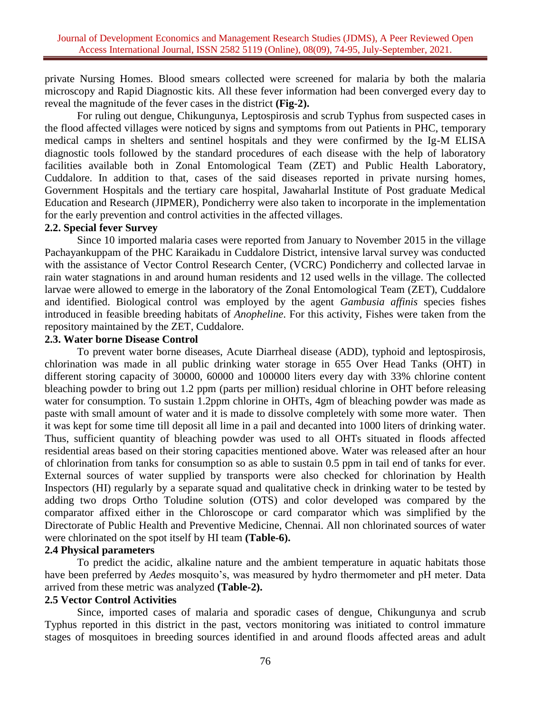private Nursing Homes. Blood smears collected were screened for malaria by both the malaria microscopy and Rapid Diagnostic kits. All these fever information had been converged every day to reveal the magnitude of the fever cases in the district **(Fig-2).**

For ruling out dengue, Chikungunya, Leptospirosis and scrub Typhus from suspected cases in the flood affected villages were noticed by signs and symptoms from out Patients in PHC, temporary medical camps in shelters and sentinel hospitals and they were confirmed by the Ig-M ELISA diagnostic tools followed by the standard procedures of each disease with the help of laboratory facilities available both in Zonal Entomological Team (ZET) and Public Health Laboratory, Cuddalore. In addition to that, cases of the said diseases reported in private nursing homes, Government Hospitals and the tertiary care hospital, Jawaharlal Institute of Post graduate Medical Education and Research (JIPMER), Pondicherry were also taken to incorporate in the implementation for the early prevention and control activities in the affected villages.

#### **2.2. Special fever Survey**

Since 10 imported malaria cases were reported from January to November 2015 in the village Pachayankuppam of the PHC Karaikadu in Cuddalore District, intensive larval survey was conducted with the assistance of Vector Control Research Center, (VCRC) Pondicherry and collected larvae in rain water stagnations in and around human residents and 12 used wells in the village. The collected larvae were allowed to emerge in the laboratory of the Zonal Entomological Team (ZET), Cuddalore and identified. Biological control was employed by the agent *Gambusia affinis* species fishes introduced in feasible breeding habitats of *Anopheline*. For this activity, Fishes were taken from the repository maintained by the ZET, Cuddalore.

#### **2.3. Water borne Disease Control**

To prevent water borne diseases, Acute Diarrheal disease (ADD), typhoid and leptospirosis, chlorination was made in all public drinking water storage in 655 Over Head Tanks (OHT) in different storing capacity of 30000, 60000 and 100000 liters every day with 33% chlorine content bleaching powder to bring out 1.2 ppm (parts per million) residual chlorine in OHT before releasing water for consumption. To sustain 1.2ppm chlorine in OHTs, 4gm of bleaching powder was made as paste with small amount of water and it is made to dissolve completely with some more water. Then it was kept for some time till deposit all lime in a pail and decanted into 1000 liters of drinking water. Thus, sufficient quantity of bleaching powder was used to all OHTs situated in floods affected residential areas based on their storing capacities mentioned above. Water was released after an hour of chlorination from tanks for consumption so as able to sustain 0.5 ppm in tail end of tanks for ever. External sources of water supplied by transports were also checked for chlorination by Health Inspectors (HI) regularly by a separate squad and qualitative check in drinking water to be tested by adding two drops Ortho Toludine solution (OTS) and color developed was compared by the comparator affixed either in the Chloroscope or card comparator which was simplified by the Directorate of Public Health and Preventive Medicine, Chennai. All non chlorinated sources of water were chlorinated on the spot itself by HI team **(Table-6).**

#### **2.4 Physical parameters**

To predict the acidic, alkaline nature and the ambient temperature in aquatic habitats those have been preferred by *Aedes* mosquito's, was measured by hydro thermometer and pH meter. Data arrived from these metric was analyzed **(Table-2).**

#### **2.5 Vector Control Activities**

Since, imported cases of malaria and sporadic cases of dengue, Chikungunya and scrub Typhus reported in this district in the past, vectors monitoring was initiated to control immature stages of mosquitoes in breeding sources identified in and around floods affected areas and adult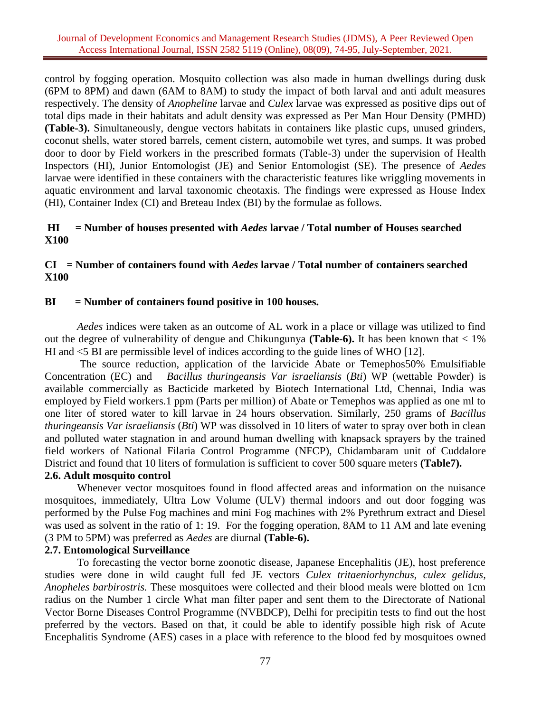control by fogging operation. Mosquito collection was also made in human dwellings during dusk (6PM to 8PM) and dawn (6AM to 8AM) to study the impact of both larval and anti adult measures respectively. The density of *Anopheline* larvae and *Culex* larvae was expressed as positive dips out of total dips made in their habitats and adult density was expressed as Per Man Hour Density (PMHD) **(Table-3).** Simultaneously, dengue vectors habitats in containers like plastic cups, unused grinders, coconut shells, water stored barrels, cement cistern, automobile wet tyres, and sumps. It was probed door to door by Field workers in the prescribed formats (Table-3) under the supervision of Health Inspectors (HI), Junior Entomologist (JE) and Senior Entomologist (SE). The presence of *Aedes* larvae were identified in these containers with the characteristic features like wriggling movements in aquatic environment and larval taxonomic cheotaxis. The findings were expressed as House Index (HI), Container Index (CI) and Breteau Index (BI) by the formulae as follows.

## **HI = Number of houses presented with** *Aedes* **larvae / Total number of Houses searched X100**

## **CI = Number of containers found with** *Aedes* **larvae / Total number of containers searched X100**

## **BI = Number of containers found positive in 100 houses.**

*Aedes* indices were taken as an outcome of AL work in a place or village was utilized to find out the degree of vulnerability of dengue and Chikungunya **(Table-6).** It has been known that < 1% HI and <5 BI are permissible level of indices according to the guide lines of WHO [12].

The source reduction, application of the larvicide Abate or Temephos50% Emulsifiable Concentration (EC) and *Bacillus thuringeansis Var israeliansis* (*Bti*) WP (wettable Powder) is available commercially as Bacticide marketed by Biotech International Ltd, Chennai, India was employed by Field workers.1 ppm (Parts per million) of Abate or Temephos was applied as one ml to one liter of stored water to kill larvae in 24 hours observation. Similarly, 250 grams of *Bacillus thuringeansis Var israeliansis* (*Bti*) WP was dissolved in 10 liters of water to spray over both in clean and polluted water stagnation in and around human dwelling with knapsack sprayers by the trained field workers of National Filaria Control Programme (NFCP), Chidambaram unit of Cuddalore District and found that 10 liters of formulation is sufficient to cover 500 square meters **(Table7).**

# **2.6. Adult mosquito control**

Whenever vector mosquitoes found in flood affected areas and information on the nuisance mosquitoes, immediately, Ultra Low Volume (ULV) thermal indoors and out door fogging was performed by the Pulse Fog machines and mini Fog machines with 2% Pyrethrum extract and Diesel was used as solvent in the ratio of 1:19. For the fogging operation, 8AM to 11 AM and late evening (3 PM to 5PM) was preferred as *Aedes* are diurnal **(Table-6).**

#### **2.7. Entomological Surveillance**

To forecasting the vector borne zoonotic disease, Japanese Encephalitis (JE), host preference studies were done in wild caught full fed JE vectors *Culex tritaeniorhynchus, culex gelidus, Anopheles barbirostris.* These mosquitoes were collected and their blood meals were blotted on 1cm radius on the Number 1 circle What man filter paper and sent them to the Directorate of National Vector Borne Diseases Control Programme (NVBDCP), Delhi for precipitin tests to find out the host preferred by the vectors. Based on that, it could be able to identify possible high risk of Acute Encephalitis Syndrome (AES) cases in a place with reference to the blood fed by mosquitoes owned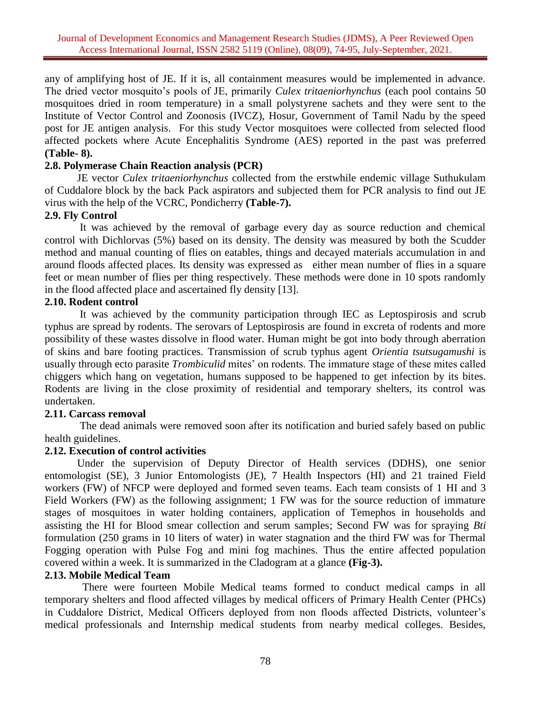any of amplifying host of JE. If it is, all containment measures would be implemented in advance. The dried vector mosquito's pools of JE, primarily *Culex tritaeniorhynchus* (each pool contains 50 mosquitoes dried in room temperature) in a small polystyrene sachets and they were sent to the Institute of Vector Control and Zoonosis (IVCZ), Hosur, Government of Tamil Nadu by the speed post for JE antigen analysis. For this study Vector mosquitoes were collected from selected flood affected pockets where Acute Encephalitis Syndrome (AES) reported in the past was preferred **(Table- 8).**

## **2.8. Polymerase Chain Reaction analysis (PCR)**

JE vector *Culex tritaeniorhynchus* collected from the erstwhile endemic village Suthukulam of Cuddalore block by the back Pack aspirators and subjected them for PCR analysis to find out JE virus with the help of the VCRC, Pondicherry **(Table-7).**

## **2.9. Fly Control**

It was achieved by the removal of garbage every day as source reduction and chemical control with Dichlorvas (5%) based on its density. The density was measured by both the Scudder method and manual counting of flies on eatables, things and decayed materials accumulation in and around floods affected places. Its density was expressed as either mean number of flies in a square feet or mean number of flies per thing respectively. These methods were done in 10 spots randomly in the flood affected place and ascertained fly density [13].

## **2.10. Rodent control**

It was achieved by the community participation through IEC as Leptospirosis and scrub typhus are spread by rodents. The serovars of Leptospirosis are found in excreta of rodents and more possibility of these wastes dissolve in flood water. Human might be got into body through aberration of skins and bare footing practices. Transmission of scrub typhus agent *Orientia tsutsugamushi* is usually through ecto parasite *Trombiculid* mites' on rodents. The immature stage of these mites called chiggers which hang on vegetation, humans supposed to be happened to get infection by its bites. Rodents are living in the close proximity of residential and temporary shelters, its control was undertaken.

# **2.11. Carcass removal**

The dead animals were removed soon after its notification and buried safely based on public health guidelines.

# **2.12. Execution of control activities**

Under the supervision of Deputy Director of Health services (DDHS), one senior entomologist (SE), 3 Junior Entomologists (JE), 7 Health Inspectors (HI) and 21 trained Field workers (FW) of NFCP were deployed and formed seven teams. Each team consists of 1 HI and 3 Field Workers (FW) as the following assignment; 1 FW was for the source reduction of immature stages of mosquitoes in water holding containers, application of Temephos in households and assisting the HI for Blood smear collection and serum samples; Second FW was for spraying *Bti*  formulation (250 grams in 10 liters of water) in water stagnation and the third FW was for Thermal Fogging operation with Pulse Fog and mini fog machines. Thus the entire affected population covered within a week. It is summarized in the Cladogram at a glance **(Fig-3).**

#### **2.13. Mobile Medical Team**

 There were fourteen Mobile Medical teams formed to conduct medical camps in all temporary shelters and flood affected villages by medical officers of Primary Health Center (PHCs) in Cuddalore District, Medical Officers deployed from non floods affected Districts, volunteer's medical professionals and Internship medical students from nearby medical colleges. Besides,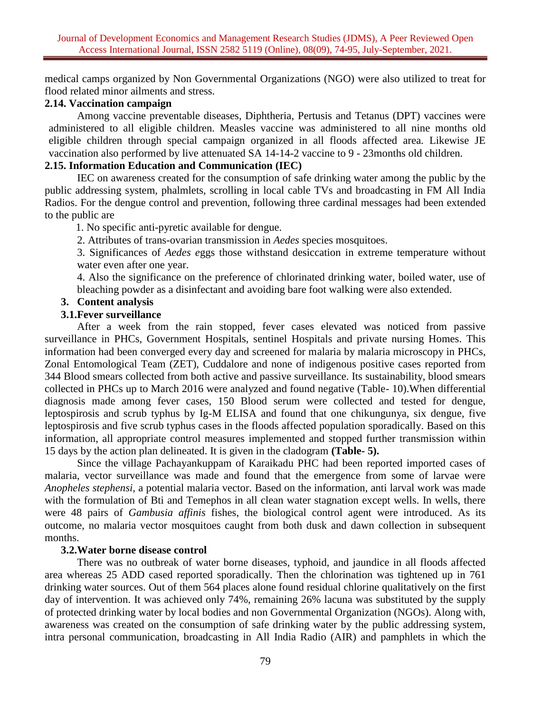medical camps organized by Non Governmental Organizations (NGO) were also utilized to treat for flood related minor ailments and stress.

# **2.14. Vaccination campaign**

Among vaccine preventable diseases, Diphtheria, Pertusis and Tetanus (DPT) vaccines were administered to all eligible children. Measles vaccine was administered to all nine months old eligible children through special campaign organized in all floods affected area. Likewise JE vaccination also performed by live attenuated SA 14-14-2 vaccine to 9 - 23months old children.

# **2.15. Information Education and Communication (IEC)**

IEC on awareness created for the consumption of safe drinking water among the public by the public addressing system, phalmlets, scrolling in local cable TVs and broadcasting in FM All India Radios. For the dengue control and prevention, following three cardinal messages had been extended to the public are

1. No specific anti-pyretic available for dengue.

2. Attributes of trans-ovarian transmission in *Aedes* species mosquitoes.

3. Significances of *Aedes e*ggs those withstand desiccation in extreme temperature without water even after one year.

4. Also the significance on the preference of chlorinated drinking water, boiled water, use of bleaching powder as a disinfectant and avoiding bare foot walking were also extended.

## **3. Content analysis**

## **3.1.Fever surveillance**

After a week from the rain stopped, fever cases elevated was noticed from passive surveillance in PHCs, Government Hospitals, sentinel Hospitals and private nursing Homes. This information had been converged every day and screened for malaria by malaria microscopy in PHCs, Zonal Entomological Team (ZET), Cuddalore and none of indigenous positive cases reported from 344 Blood smears collected from both active and passive surveillance. Its sustainability, blood smears collected in PHCs up to March 2016 were analyzed and found negative (Table- 10).When differential diagnosis made among fever cases, 150 Blood serum were collected and tested for dengue, leptospirosis and scrub typhus by Ig-M ELISA and found that one chikungunya, six dengue, five leptospirosis and five scrub typhus cases in the floods affected population sporadically. Based on this information, all appropriate control measures implemented and stopped further transmission within 15 days by the action plan delineated. It is given in the cladogram **(Table- 5).**

Since the village Pachayankuppam of Karaikadu PHC had been reported imported cases of malaria, vector surveillance was made and found that the emergence from some of larvae were *Anopheles stephensi,* a potential malaria vector. Based on the information, anti larval work was made with the formulation of Bti and Temephos in all clean water stagnation except wells. In wells, there were 48 pairs of *Gambusia affinis* fishes, the biological control agent were introduced. As its outcome, no malaria vector mosquitoes caught from both dusk and dawn collection in subsequent months.

#### **3.2.Water borne disease control**

There was no outbreak of water borne diseases, typhoid, and jaundice in all floods affected area whereas 25 ADD cased reported sporadically. Then the chlorination was tightened up in 761 drinking water sources. Out of them 564 places alone found residual chlorine qualitatively on the first day of intervention. It was achieved only 74%, remaining 26% lacuna was substituted by the supply of protected drinking water by local bodies and non Governmental Organization (NGOs). Along with, awareness was created on the consumption of safe drinking water by the public addressing system, intra personal communication, broadcasting in All India Radio (AIR) and pamphlets in which the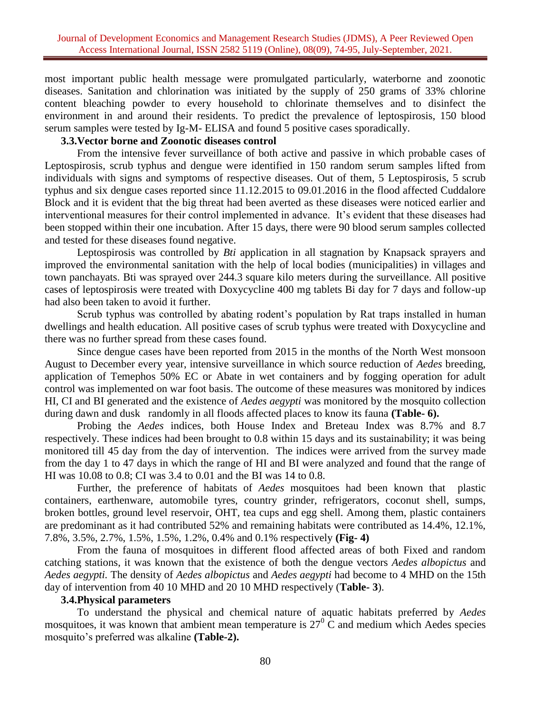most important public health message were promulgated particularly, waterborne and zoonotic diseases. Sanitation and chlorination was initiated by the supply of 250 grams of 33% chlorine content bleaching powder to every household to chlorinate themselves and to disinfect the environment in and around their residents. To predict the prevalence of leptospirosis, 150 blood serum samples were tested by Ig-M- ELISA and found 5 positive cases sporadically.

#### **3.3.Vector borne and Zoonotic diseases control**

From the intensive fever surveillance of both active and passive in which probable cases of Leptospirosis, scrub typhus and dengue were identified in 150 random serum samples lifted from individuals with signs and symptoms of respective diseases. Out of them, 5 Leptospirosis, 5 scrub typhus and six dengue cases reported since 11.12.2015 to 09.01.2016 in the flood affected Cuddalore Block and it is evident that the big threat had been averted as these diseases were noticed earlier and interventional measures for their control implemented in advance. It's evident that these diseases had been stopped within their one incubation. After 15 days, there were 90 blood serum samples collected and tested for these diseases found negative.

Leptospirosis was controlled by *Bti* application in all stagnation by Knapsack sprayers and improved the environmental sanitation with the help of local bodies (municipalities) in villages and town panchayats. Bti was sprayed over 244.3 square kilo meters during the surveillance. All positive cases of leptospirosis were treated with Doxycycline 400 mg tablets Bi day for 7 days and follow-up had also been taken to avoid it further.

Scrub typhus was controlled by abating rodent's population by Rat traps installed in human dwellings and health education. All positive cases of scrub typhus were treated with Doxycycline and there was no further spread from these cases found.

Since dengue cases have been reported from 2015 in the months of the North West monsoon August to December every year, intensive surveillance in which source reduction of *Aedes* breeding, application of Temephos 50% EC or Abate in wet containers and by fogging operation for adult control was implemented on war foot basis. The outcome of these measures was monitored by indices HI, CI and BI generated and the existence of *Aedes aegypti* was monitored by the mosquito collection during dawn and dusk randomly in all floods affected places to know its fauna **(Table- 6).**

Probing the *Aedes* indices, both House Index and Breteau Index was 8.7% and 8.7 respectively. These indices had been brought to 0.8 within 15 days and its sustainability; it was being monitored till 45 day from the day of intervention. The indices were arrived from the survey made from the day 1 to 47 days in which the range of HI and BI were analyzed and found that the range of HI was 10.08 to 0.8; CI was 3.4 to 0.01 and the BI was 14 to 0.8.

Further, the preference of habitats of *Aedes* mosquitoes had been known that plastic containers, earthenware, automobile tyres, country grinder, refrigerators, coconut shell, sumps, broken bottles, ground level reservoir, OHT, tea cups and egg shell. Among them, plastic containers are predominant as it had contributed 52% and remaining habitats were contributed as 14.4%, 12.1%, 7.8%, 3.5%, 2.7%, 1.5%, 1.5%, 1.2%, 0.4% and 0.1% respectively **(Fig- 4)**

From the fauna of mosquitoes in different flood affected areas of both Fixed and random catching stations, it was known that the existence of both the dengue vectors *Aedes albopictus* and *Aedes aegypti.* The density of *Aedes albopictus* and *Aedes aegypti* had become to 4 MHD on the 15th day of intervention from 40 10 MHD and 20 10 MHD respectively (**Table- 3**).

#### **3.4.Physical parameters**

To understand the physical and chemical nature of aquatic habitats preferred by *Aedes* mosquitoes, it was known that ambient mean temperature is  $27^{\circ}$  C and medium which Aedes species mosquito's preferred was alkaline **(Table-2).**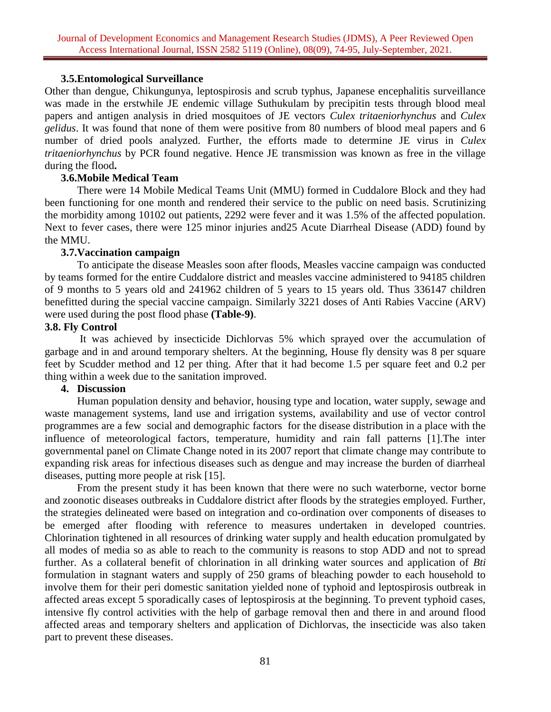## **3.5.Entomological Surveillance**

Other than dengue, Chikungunya, leptospirosis and scrub typhus, Japanese encephalitis surveillance was made in the erstwhile JE endemic village Suthukulam by precipitin tests through blood meal papers and antigen analysis in dried mosquitoes of JE vectors *Culex tritaeniorhynchus* and *Culex gelidus*. It was found that none of them were positive from 80 numbers of blood meal papers and 6 number of dried pools analyzed. Further, the efforts made to determine JE virus in *Culex tritaeniorhynchus* by PCR found negative. Hence JE transmission was known as free in the village during the flood**.** 

# **3.6.Mobile Medical Team**

There were 14 Mobile Medical Teams Unit (MMU) formed in Cuddalore Block and they had been functioning for one month and rendered their service to the public on need basis. Scrutinizing the morbidity among 10102 out patients, 2292 were fever and it was 1.5% of the affected population. Next to fever cases, there were 125 minor injuries and25 Acute Diarrheal Disease (ADD) found by the MMU.

## **3.7.Vaccination campaign**

To anticipate the disease Measles soon after floods, Measles vaccine campaign was conducted by teams formed for the entire Cuddalore district and measles vaccine administered to 94185 children of 9 months to 5 years old and 241962 children of 5 years to 15 years old. Thus 336147 children benefitted during the special vaccine campaign. Similarly 3221 doses of Anti Rabies Vaccine (ARV) were used during the post flood phase **(Table-9)**.

## **3.8. Fly Control**

It was achieved by insecticide Dichlorvas 5% which sprayed over the accumulation of garbage and in and around temporary shelters. At the beginning, House fly density was 8 per square feet by Scudder method and 12 per thing. After that it had become 1.5 per square feet and 0.2 per thing within a week due to the sanitation improved.

# **4. Discussion**

Human population density and behavior, housing type and location, water supply, sewage and waste management systems, land use and irrigation systems, availability and use of vector control programmes are a few social and demographic factors for the disease distribution in a place with the influence of meteorological factors, temperature, humidity and rain fall patterns [1].The inter governmental panel on Climate Change noted in its 2007 report that climate change may contribute to expanding risk areas for infectious diseases such as dengue and may increase the burden of diarrheal diseases, putting more people at risk [15].

From the present study it has been known that there were no such waterborne, vector borne and zoonotic diseases outbreaks in Cuddalore district after floods by the strategies employed. Further, the strategies delineated were based on integration and co-ordination over components of diseases to be emerged after flooding with reference to measures undertaken in developed countries. Chlorination tightened in all resources of drinking water supply and health education promulgated by all modes of media so as able to reach to the community is reasons to stop ADD and not to spread further. As a collateral benefit of chlorination in all drinking water sources and application of *Bti* formulation in stagnant waters and supply of 250 grams of bleaching powder to each household to involve them for their peri domestic sanitation yielded none of typhoid and leptospirosis outbreak in affected areas except 5 sporadically cases of leptospirosis at the beginning. To prevent typhoid cases, intensive fly control activities with the help of garbage removal then and there in and around flood affected areas and temporary shelters and application of Dichlorvas, the insecticide was also taken part to prevent these diseases.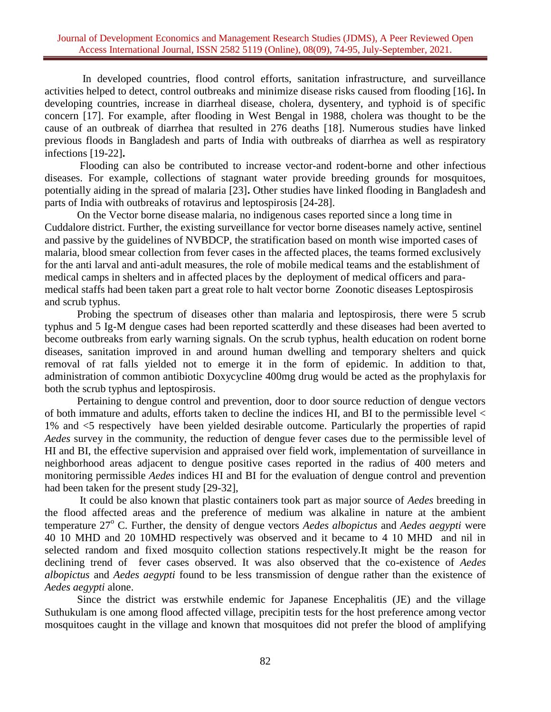In developed countries, flood control efforts, sanitation infrastructure, and surveillance activities helped to detect, control outbreaks and minimize disease risks caused from flooding [16]**.** In developing countries, increase in diarrheal disease, cholera, dysentery, and typhoid is of specific concern [17]. For example, after flooding in West Bengal in 1988, cholera was thought to be the cause of an outbreak of diarrhea that resulted in 276 deaths [18]. Numerous studies have linked previous floods in Bangladesh and parts of India with outbreaks of diarrhea as well as respiratory infections [19-22]**.**

Flooding can also be contributed to increase vector-and rodent-borne and other infectious diseases. For example, collections of stagnant water provide breeding grounds for mosquitoes, potentially aiding in the spread of malaria [23]**.** Other studies have linked flooding in Bangladesh and parts of India with outbreaks of rotavirus and leptospirosis [24-28].

On the Vector borne disease malaria, no indigenous cases reported since a long time in Cuddalore district. Further, the existing surveillance for vector borne diseases namely active, sentinel and passive by the guidelines of NVBDCP, the stratification based on month wise imported cases of malaria, blood smear collection from fever cases in the affected places, the teams formed exclusively for the anti larval and anti-adult measures, the role of mobile medical teams and the establishment of medical camps in shelters and in affected places by the deployment of medical officers and paramedical staffs had been taken part a great role to halt vector borne Zoonotic diseases Leptospirosis and scrub typhus.

Probing the spectrum of diseases other than malaria and leptospirosis, there were 5 scrub typhus and 5 Ig-M dengue cases had been reported scatterdly and these diseases had been averted to become outbreaks from early warning signals. On the scrub typhus, health education on rodent borne diseases, sanitation improved in and around human dwelling and temporary shelters and quick removal of rat falls yielded not to emerge it in the form of epidemic. In addition to that, administration of common antibiotic Doxycycline 400mg drug would be acted as the prophylaxis for both the scrub typhus and leptospirosis.

Pertaining to dengue control and prevention, door to door source reduction of dengue vectors of both immature and adults, efforts taken to decline the indices HI, and BI to the permissible level < 1% and <5 respectively have been yielded desirable outcome. Particularly the properties of rapid *Aedes* survey in the community, the reduction of dengue fever cases due to the permissible level of HI and BI, the effective supervision and appraised over field work, implementation of surveillance in neighborhood areas adjacent to dengue positive cases reported in the radius of 400 meters and monitoring permissible *Aedes* indices HI and BI for the evaluation of dengue control and prevention had been taken for the present study [29-32],

It could be also known that plastic containers took part as major source of *Aedes* breeding in the flood affected areas and the preference of medium was alkaline in nature at the ambient temperature 27<sup>o</sup> C. Further, the density of dengue vectors *Aedes albopictus* and *Aedes aegypti* were 40 10 MHD and 20 10MHD respectively was observed and it became to 4 10 MHD and nil in selected random and fixed mosquito collection stations respectively.It might be the reason for declining trend of fever cases observed. It was also observed that the co-existence of *Aedes albopictus* and *Aedes aegypti* found to be less transmission of dengue rather than the existence of *Aedes aegypti* alone.

Since the district was erstwhile endemic for Japanese Encephalitis (JE) and the village Suthukulam is one among flood affected village, precipitin tests for the host preference among vector mosquitoes caught in the village and known that mosquitoes did not prefer the blood of amplifying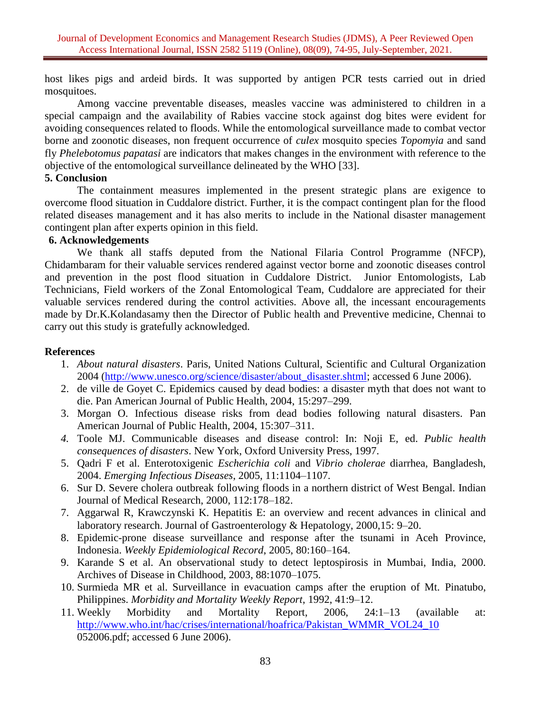host likes pigs and ardeid birds. It was supported by antigen PCR tests carried out in dried mosquitoes.

Among vaccine preventable diseases, measles vaccine was administered to children in a special campaign and the availability of Rabies vaccine stock against dog bites were evident for avoiding consequences related to floods. While the entomological surveillance made to combat vector borne and zoonotic diseases, non frequent occurrence of *culex* mosquito species *Topomyia* and sand fly *Phelebotomus papatasi* are indicators that makes changes in the environment with reference to the objective of the entomological surveillance delineated by the WHO [33].

## **5. Conclusion**

The containment measures implemented in the present strategic plans are exigence to overcome flood situation in Cuddalore district. Further, it is the compact contingent plan for the flood related diseases management and it has also merits to include in the National disaster management contingent plan after experts opinion in this field.

# **6. Acknowledgements**

We thank all staffs deputed from the National Filaria Control Programme (NFCP), Chidambaram for their valuable services rendered against vector borne and zoonotic diseases control and prevention in the post flood situation in Cuddalore District. Junior Entomologists, Lab Technicians, Field workers of the Zonal Entomological Team, Cuddalore are appreciated for their valuable services rendered during the control activities. Above all, the incessant encouragements made by Dr.K.Kolandasamy then the Director of Public health and Preventive medicine, Chennai to carry out this study is gratefully acknowledged.

# **References**

- 1. *About natural disasters*. Paris, United Nations Cultural, Scientific and Cultural Organization 2004 [\(http://www.unesco.org/science/disaster/about\\_disaster.shtml;](http://www.unesco.org/science/disaster/about_disaster.shtml) accessed 6 June 2006).
- 2. de ville de Goyet C. Epidemics caused by dead bodies: a disaster myth that does not want to die. Pan American Journal of Public Health, 2004, 15:297–299.
- 3. Morgan O. Infectious disease risks from dead bodies following natural disasters. Pan American Journal of Public Health, 2004, 15:307–311.
- *4.* Toole MJ. Communicable diseases and disease control: In: Noji E, ed. *Public health consequences of disasters*. New York, Oxford University Press, 1997.
- 5. Qadri F et al. Enterotoxigenic *Escherichia coli* and *Vibrio cholerae* diarrhea, Bangladesh, 2004. *Emerging Infectious Diseases*, 2005, 11:1104–1107.
- 6. Sur D. Severe cholera outbreak following floods in a northern district of West Bengal. Indian Journal of Medical Research, 2000, 112:178–182.
- 7. Aggarwal R, Krawczynski K. Hepatitis E: an overview and recent advances in clinical and laboratory research. Journal of Gastroenterology & Hepatology, 2000,15: 9–20.
- 8. Epidemic-prone disease surveillance and response after the tsunami in Aceh Province, Indonesia. *Weekly Epidemiological Record*, 2005, 80:160–164.
- 9. Karande S et al. An observational study to detect leptospirosis in Mumbai, India, 2000. Archives of Disease in Childhood, 2003, 88:1070–1075.
- 10. Surmieda MR et al. Surveillance in evacuation camps after the eruption of Mt. Pinatubo, Philippines. *Morbidity and Mortality Weekly Report*, 1992, 41:9–12.
- 11. Weekly Morbidity and Mortality Report, 2006, 24:1–13 (available at: [http://www.who.int/hac/crises/international/hoafrica/Pakistan\\_WMMR\\_VOL24\\_10](http://www.who.int/hac/crises/international/hoafrica/Pakistan_WMMR_VOL24_10) 052006.pdf; accessed 6 June 2006).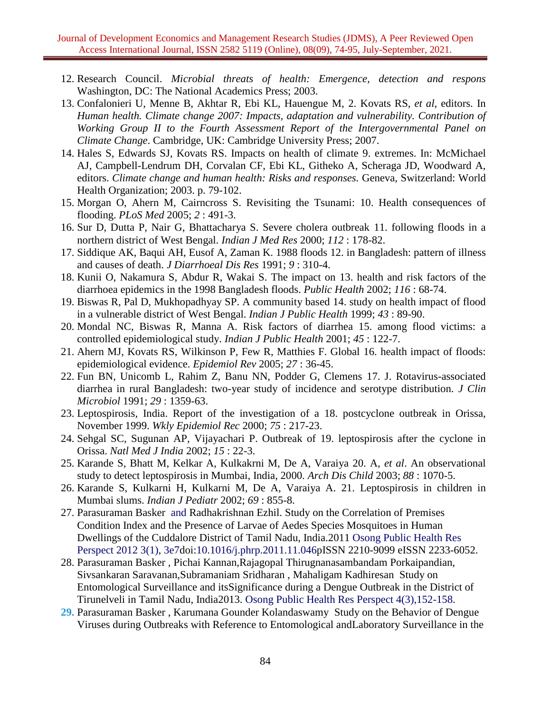- 12. Research Council. *Microbial threats of health: Emergence, detection and respons* Washington, DC: The National Academics Press; 2003.
- 13. Confalonieri U, Menne B, Akhtar R, Ebi KL, Hauengue M, 2. Kovats RS, *et al*, editors. In *Human health. Climate change 2007: Impacts, adaptation and vulnerability. Contribution of Working Group II to the Fourth Assessment Report of the Intergovernmental Panel on Climate Change*. Cambridge, UK: Cambridge University Press; 2007.
- 14. Hales S, Edwards SJ, Kovats RS. Impacts on health of climate 9. extremes. In: McMichael AJ, Campbell-Lendrum DH, Corvalan CF, Ebi KL, Githeko A, Scheraga JD, Woodward A, editors. *Climate change and human health: Risks and responses.* Geneva, Switzerland: World Health Organization; 2003. p. 79-102.
- 15. Morgan O, Ahern M, Cairncross S. Revisiting the Tsunami: 10. Health consequences of flooding. *PLoS Med* 2005; *2* : 491-3.
- 16. Sur D, Dutta P, Nair G, Bhattacharya S. Severe cholera outbreak 11. following floods in a northern district of West Bengal. *Indian J Med Res* 2000; *112* : 178-82.
- 17. Siddique AK, Baqui AH, Eusof A, Zaman K. 1988 floods 12. in Bangladesh: pattern of illness and causes of death. *J Diarrhoeal Dis Res* 1991; *9* : 310-4.
- 18. Kunii O, Nakamura S, Abdur R, Wakai S. The impact on 13. health and risk factors of the diarrhoea epidemics in the 1998 Bangladesh floods. *Public Health* 2002; *116* : 68-74.
- 19. Biswas R, Pal D, Mukhopadhyay SP. A community based 14. study on health impact of flood in a vulnerable district of West Bengal. *Indian J Public Health* 1999; *43* : 89-90.
- 20. Mondal NC, Biswas R, Manna A. Risk factors of diarrhea 15. among flood victims: a controlled epidemiological study. *Indian J Public Health* 2001; *45* : 122-7.
- 21. Ahern MJ, Kovats RS, Wilkinson P, Few R, Matthies F. Global 16. health impact of floods: epidemiological evidence. *Epidemiol Rev* 2005; *27* : 36-45.
- 22. Fun BN, Unicomb L, Rahim Z, Banu NN, Podder G, Clemens 17. J. Rotavirus-associated diarrhea in rural Bangladesh: two-year study of incidence and serotype distribution. *J Clin Microbiol* 1991; *29* : 1359-63.
- 23. Leptospirosis, India. Report of the investigation of a 18. postcyclone outbreak in Orissa, November 1999. *Wkly Epidemiol Rec* 2000; *75* : 217-23.
- 24. Sehgal SC, Sugunan AP, Vijayachari P. Outbreak of 19. leptospirosis after the cyclone in Orissa. *Natl Med J India* 2002; *15* : 22-3.
- 25. Karande S, Bhatt M, Kelkar A, Kulkakrni M, De A, Varaiya 20. A, *et al*. An observational study to detect leptospirosis in Mumbai, India, 2000. *Arch Dis Child* 2003; *88* : 1070-5.
- 26. Karande S, Kulkarni H, Kulkarni M, De A, Varaiya A. 21. Leptospirosis in children in Mumbai slums. *Indian J Pediatr* 2002; *69* : 855-8.
- 27. Parasuraman Basker and Radhakrishnan Ezhil. Study on the Correlation of Premises Condition Index and the Presence of Larvae of Aedes Species Mosquitoes in Human Dwellings of the Cuddalore District of Tamil Nadu, India.2011 Osong Public Health Res Perspect 2012 3(1), 3e7doi:10.1016/j.phrp.2011.11.046pISSN 2210-9099 eISSN 2233-6052.
- 28. Parasuraman Basker , Pichai Kannan,Rajagopal Thirugnanasambandam Porkaipandian, Sivsankaran Saravanan,Subramaniam Sridharan , Mahaligam Kadhiresan Study on Entomological Surveillance and itsSignificance during a Dengue Outbreak in the District of Tirunelveli in Tamil Nadu, India2013. Osong Public Health Res Perspect 4(3),152-158.
- **29.** Parasuraman Basker , Karumana Gounder Kolandaswamy Study on the Behavior of Dengue Viruses during Outbreaks with Reference to Entomological andLaboratory Surveillance in the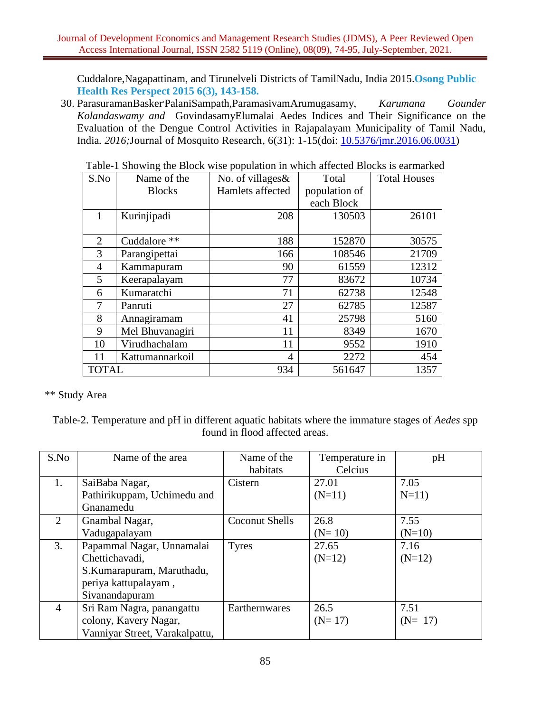Cuddalore,Nagapattinam, and Tirunelveli Districts of TamilNadu, India 2015.**Osong Public Health Res Perspect 2015 6(3), 143-158.**

30. ParasuramanBasker, PalaniSampath,ParamasivamArumugasamy, *Karumana Gounder Kolandaswamy and* GovindasamyElumalai Aedes Indices and Their Significance on the Evaluation of the Dengue Control Activities in Rajapalayam Municipality of Tamil Nadu, India*. 2016;*Journal of Mosquito Research, 6(31): 1-15(doi: [10.5376/jmr.2016.06.0031\)](http://dx.doi.org/10.5376/jmr.2016.06.0031)

| S.No         | Name of the     | No. of villages& | Total         | <b>Total Houses</b> |
|--------------|-----------------|------------------|---------------|---------------------|
|              | <b>Blocks</b>   | Hamlets affected | population of |                     |
|              |                 |                  | each Block    |                     |
|              | Kurinjipadi     | 208              | 130503        | 26101               |
|              |                 |                  |               |                     |
| 2            | Cuddalore **    | 188              | 152870        | 30575               |
| 3            | Parangipettai   | 166              | 108546        | 21709               |
| 4            | Kammapuram      | 90               | 61559         | 12312               |
| 5            | Keerapalayam    | 77               | 83672         | 10734               |
| 6            | Kumaratchi      | 71               | 62738         | 12548               |
| 7            | Panruti         | 27               | 62785         | 12587               |
| 8            | Annagiramam     | 41               | 25798         | 5160                |
| 9            | Mel Bhuvanagiri | 11               | 8349          | 1670                |
| 10           | Virudhachalam   | 11               | 9552          | 1910                |
| 11           | Kattumannarkoil | 4                | 2272          | 454                 |
| <b>TOTAL</b> |                 | 934              | 561647        | 1357                |

Table-1 Showing the Block wise population in which affected Blocks is earmarked

\*\* Study Area

Table-2. Temperature and pH in different aquatic habitats where the immature stages of *Aedes* spp found in flood affected areas.

| S.No           | Name of the area               | Name of the<br>habitats | Temperature in<br>Celcius | pH       |
|----------------|--------------------------------|-------------------------|---------------------------|----------|
| 1.             | SaiBaba Nagar,                 | Cistern                 | 27.01                     | 7.05     |
|                | Pathirikuppam, Uchimedu and    |                         | $(N=11)$                  | $N=11$ ) |
|                | Gnanamedu                      |                         |                           |          |
| 2              | Gnambal Nagar,                 | <b>Coconut Shells</b>   | 26.8                      | 7.55     |
|                | Vadugapalayam                  |                         | $(N=10)$                  | $(N=10)$ |
| 3.             | Papammal Nagar, Unnamalai      | <b>Tyres</b>            | 27.65                     | 7.16     |
|                | Chettichavadi,                 |                         | $(N=12)$                  | $(N=12)$ |
|                | S.Kumarapuram, Maruthadu,      |                         |                           |          |
|                | periya kattupalayam,           |                         |                           |          |
|                | Sivanandapuram                 |                         |                           |          |
| $\overline{4}$ | Sri Ram Nagra, panangattu      | Earthernwares           | 26.5                      | 7.51     |
|                | colony, Kavery Nagar,          |                         | $(N=17)$                  | $(N=17)$ |
|                | Vanniyar Street, Varakalpattu, |                         |                           |          |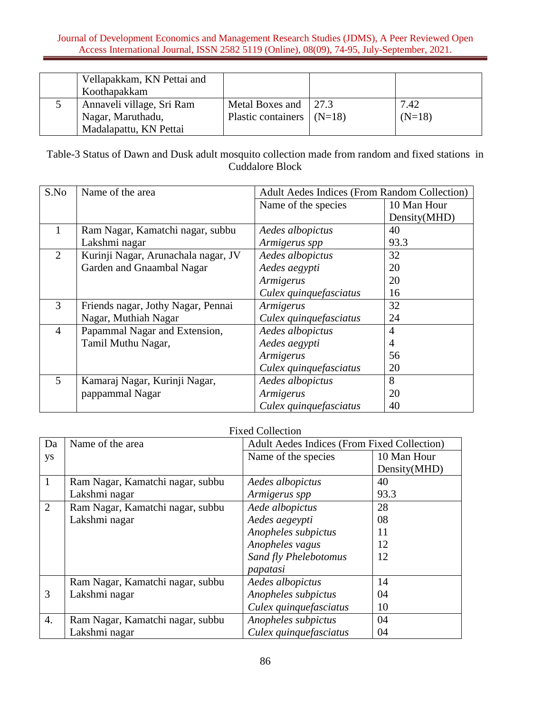|  | Vellapakkam, KN Pettai and |                             |          |
|--|----------------------------|-----------------------------|----------|
|  | Koothapakkam               |                             |          |
|  | Annaveli village, Sri Ram  | Metal Boxes and $\int$ 27.3 | 7.42     |
|  | Nagar, Maruthadu,          | Plastic containers $(N=18)$ | $(N=18)$ |
|  | Madalapattu, KN Pettai     |                             |          |

Table-3 Status of Dawn and Dusk adult mosquito collection made from random and fixed stations in Cuddalore Block

| S.No           | Name of the area                    | <b>Adult Aedes Indices (From Random Collection)</b> |              |
|----------------|-------------------------------------|-----------------------------------------------------|--------------|
|                |                                     | Name of the species                                 | 10 Man Hour  |
|                |                                     |                                                     | Density(MHD) |
| 1              | Ram Nagar, Kamatchi nagar, subbu    | Aedes albopictus                                    | 40           |
|                | Lakshmi nagar                       | Armigerus spp                                       | 93.3         |
| $\overline{2}$ | Kurinji Nagar, Arunachala nagar, JV | Aedes albopictus                                    | 32           |
|                | Garden and Gnaambal Nagar           | Aedes aegypti                                       | 20           |
|                |                                     | Armigerus                                           | 20           |
|                |                                     | Culex quinquefasciatus                              | 16           |
| 3              | Friends nagar, Jothy Nagar, Pennai  | Armigerus                                           | 32           |
|                | Nagar, Muthiah Nagar                | Culex quinquefasciatus                              | 24           |
| $\overline{4}$ | Papammal Nagar and Extension,       | Aedes albopictus                                    | 4            |
|                | Tamil Muthu Nagar,                  | Aedes aegypti                                       | 4            |
|                |                                     | Armigerus                                           | 56           |
|                |                                     | Culex quinquefasciatus                              | 20           |
| 5              | Kamaraj Nagar, Kurinji Nagar,       | Aedes albopictus                                    | 8            |
|                | pappammal Nagar                     | Armigerus                                           | 20           |
|                |                                     | Culex quinquefasciatus                              | 40           |

# Fixed Collection

| Da               | Name of the area                 | <b>Adult Aedes Indices (From Fixed Collection)</b> |              |
|------------------|----------------------------------|----------------------------------------------------|--------------|
| ys               |                                  | Name of the species                                | 10 Man Hour  |
|                  |                                  |                                                    | Density(MHD) |
| 1                | Ram Nagar, Kamatchi nagar, subbu | Aedes albopictus                                   | 40           |
|                  | Lakshmi nagar                    | Armigerus spp                                      | 93.3         |
| $\overline{2}$   | Ram Nagar, Kamatchi nagar, subbu | Aede albopictus                                    | 28           |
|                  | Lakshmi nagar                    | Aedes aegeypti                                     | 08           |
|                  |                                  | Anopheles subpictus                                | 11           |
|                  |                                  | Anopheles vagus                                    | 12           |
|                  |                                  | Sand fly Phelebotomus                              | 12           |
|                  |                                  | papatasi                                           |              |
|                  | Ram Nagar, Kamatchi nagar, subbu | Aedes albopictus                                   | 14           |
| 3                | Lakshmi nagar                    | Anopheles subpictus                                | 04           |
|                  |                                  | Culex quinquefasciatus                             | 10           |
| $\overline{4}$ . | Ram Nagar, Kamatchi nagar, subbu | Anopheles subpictus                                | 04           |
|                  | Lakshmi nagar                    | Culex quinquefasciatus                             | 04           |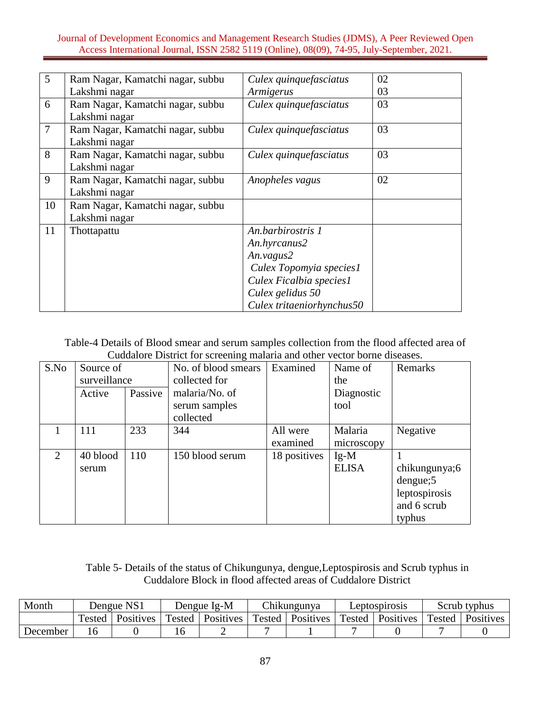| $\overline{5}$ | Ram Nagar, Kamatchi nagar, subbu | Culex quinquefasciatus    | 02 |
|----------------|----------------------------------|---------------------------|----|
|                | Lakshmi nagar                    | Armigerus                 | 03 |
| 6              | Ram Nagar, Kamatchi nagar, subbu | Culex quinquefasciatus    | 03 |
|                | Lakshmi nagar                    |                           |    |
| $\overline{7}$ | Ram Nagar, Kamatchi nagar, subbu | Culex quinquefasciatus    | 03 |
|                | Lakshmi nagar                    |                           |    |
| 8              | Ram Nagar, Kamatchi nagar, subbu | Culex quinquefasciatus    | 03 |
|                | Lakshmi nagar                    |                           |    |
| 9              | Ram Nagar, Kamatchi nagar, subbu | Anopheles vagus           | 02 |
|                | Lakshmi nagar                    |                           |    |
| 10             | Ram Nagar, Kamatchi nagar, subbu |                           |    |
|                | Lakshmi nagar                    |                           |    |
| 11             | Thottapattu                      | An.barbirostris 1         |    |
|                |                                  | An.hyrcanus2              |    |
|                |                                  | An. vagus2                |    |
|                |                                  | Culex Topomyia species1   |    |
|                |                                  | Culex Ficalbia species1   |    |
|                |                                  | Culex gelidus 50          |    |
|                |                                  | Culex tritaeniorhynchus50 |    |

Table-4 Details of Blood smear and serum samples collection from the flood affected area of Cuddalore District for screening malaria and other vector borne diseases.

| S.No | Source of    |         | No. of blood smears | Examined     | Name of      | Remarks       |
|------|--------------|---------|---------------------|--------------|--------------|---------------|
|      | surveillance |         | collected for       |              | the          |               |
|      | Active       | Passive | malaria/No. of      |              | Diagnostic   |               |
|      |              |         | serum samples       |              | tool         |               |
|      |              |         | collected           |              |              |               |
|      | 111          | 233     | 344                 | All were     | Malaria      | Negative      |
|      |              |         |                     | examined     | microscopy   |               |
| 2    | 40 blood     | 110     | 150 blood serum     | 18 positives | $Ig-M$       |               |
|      | serum        |         |                     |              | <b>ELISA</b> | chikungunya;6 |
|      |              |         |                     |              |              | dengue;5      |
|      |              |         |                     |              |              | leptospirosis |
|      |              |         |                     |              |              | and 6 scrub   |
|      |              |         |                     |              |              | typhus        |

Table 5- Details of the status of Chikungunya, dengue,Leptospirosis and Scrub typhus in Cuddalore Block in flood affected areas of Cuddalore District

| Month    | Dengue NS1 |                  | Dengue Ig-M |           | <b>Chikungunya</b> |           | Leptospirosis |                  | Scrub typhus |           |
|----------|------------|------------------|-------------|-----------|--------------------|-----------|---------------|------------------|--------------|-----------|
|          | Tested     | <b>Positives</b> | Tested      | Positives | Tested             | Positives | Tested        | <b>Positives</b> | Tested       | Positives |
| December |            |                  |             |           |                    |           |               |                  |              |           |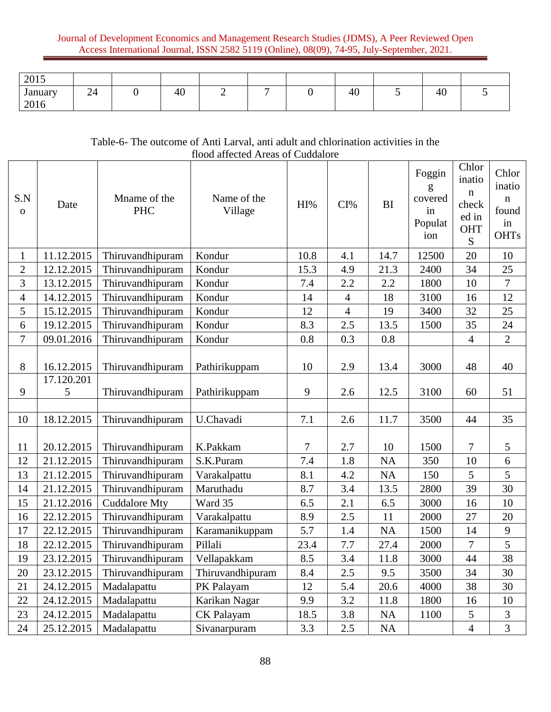| 2015            |    |    |   |                          |    |   |    |  |
|-----------------|----|----|---|--------------------------|----|---|----|--|
| January<br>2016 | 24 | 40 | - | $\overline{\phantom{0}}$ | 40 | ັ | 40 |  |

# Table-6- The outcome of Anti Larval, anti adult and chlorination activities in the flood affected Areas of Cuddalore

| S.N<br>$\mathbf O$ | Date                     | Mname of the<br><b>PHC</b>           | Name of the<br>Village    | HI%      | CI%            | <b>BI</b>         | Foggin<br>g<br>covered<br>in<br>Populat<br>ion | Chlor<br>inatio<br>$\mathbf n$<br>check<br>ed in<br>OHT<br>${\bf S}$ | Chlor<br>inatio<br>$\mathbf n$<br>found<br>in<br><b>OHTs</b> |
|--------------------|--------------------------|--------------------------------------|---------------------------|----------|----------------|-------------------|------------------------------------------------|----------------------------------------------------------------------|--------------------------------------------------------------|
| $\mathbf{1}$       | 11.12.2015               | Thiruvandhipuram                     | Kondur                    | 10.8     | 4.1            | 14.7              | 12500                                          | 20                                                                   | 10                                                           |
| $\overline{2}$     | 12.12.2015               | Thiruvandhipuram                     | Kondur                    | 15.3     | 4.9            | 21.3              | 2400                                           | 34                                                                   | 25                                                           |
| 3                  | 13.12.2015               | Thiruvandhipuram                     | Kondur                    | 7.4      | 2.2            | 2.2               | 1800                                           | 10                                                                   | $\overline{7}$                                               |
| $\overline{4}$     | 14.12.2015               | Thiruvandhipuram                     | Kondur                    | 14       | $\overline{4}$ | 18                | 3100                                           | 16                                                                   | 12                                                           |
| 5                  | 15.12.2015               | Thiruvandhipuram                     | Kondur                    | 12       | $\overline{4}$ | 19                | 3400                                           | 32                                                                   | 25                                                           |
| 6                  | 19.12.2015               | Thiruvandhipuram                     | Kondur                    | 8.3      | 2.5            | 13.5              | 1500                                           | 35                                                                   | 24                                                           |
| 7                  | 09.01.2016               | Thiruvandhipuram                     | Kondur                    | 0.8      | 0.3            | 0.8               |                                                | $\overline{4}$                                                       | $\overline{2}$                                               |
| 8                  | 16.12.2015               | Thiruvandhipuram                     | Pathirikuppam             | 10       | 2.9            | 13.4              | 3000                                           | 48                                                                   | 40                                                           |
| 9                  | 17.120.201<br>5          | Thiruvandhipuram                     | Pathirikuppam             | 9        | 2.6            | 12.5              | 3100                                           | 60                                                                   | 51                                                           |
|                    |                          |                                      |                           |          |                |                   |                                                |                                                                      |                                                              |
| 10                 | 18.12.2015               | Thiruvandhipuram                     | U.Chavadi                 | 7.1      | 2.6            | 11.7              | 3500                                           | 44                                                                   | 35                                                           |
| 11<br>12           | 20.12.2015<br>21.12.2015 | Thiruvandhipuram<br>Thiruvandhipuram | K.Pakkam<br>S.K.Puram     | 7<br>7.4 | 2.7<br>1.8     | 10<br>NA          | 1500<br>350                                    | 7<br>10                                                              | 5<br>6                                                       |
| 13                 | 21.12.2015               |                                      |                           | 8.1      | 4.2            |                   | 150                                            | 5                                                                    | 5                                                            |
| 14                 | 21.12.2015               | Thiruvandhipuram<br>Thiruvandhipuram | Varakalpattu<br>Maruthadu | 8.7      | 3.4            | <b>NA</b><br>13.5 | 2800                                           | 39                                                                   | 30                                                           |
| 15                 | 21.12.2016               | <b>Cuddalore Mty</b>                 | Ward 35                   | 6.5      | 2.1            | 6.5               | 3000                                           | 16                                                                   | 10                                                           |
| 16                 | 22.12.2015               | Thiruvandhipuram                     | Varakalpattu              | 8.9      | 2.5            | 11                | 2000                                           | 27                                                                   | 20                                                           |
| 17                 | 22.12.2015               | Thiruvandhipuram                     | Karamanikuppam            | 5.7      | 1.4            | NA                | 1500                                           | 14                                                                   | 9                                                            |
| 18                 | 22.12.2015               | Thiruvandhipuram                     | Pillali                   | 23.4     | 7.7            | 27.4              | 2000                                           | 7                                                                    | 5                                                            |
| 19                 | 23.12.2015               | Thiruvandhipuram                     | Vellapakkam               | 8.5      | 3.4            | 11.8              | 3000                                           | 44                                                                   | 38                                                           |
| 20                 | 23.12.2015               | Thiruvandhipuram                     | Thiruvandhipuram          | 8.4      | 2.5            | 9.5               | 3500                                           | 34                                                                   | 30                                                           |
| 21                 | 24.12.2015               | Madalapattu                          | PK Palayam                | 12       | 5.4            | 20.6              | 4000                                           | 38                                                                   | 30                                                           |
| 22                 | 24.12.2015               | Madalapattu                          | Karikan Nagar             | 9.9      | 3.2            | 11.8              | 1800                                           | 16                                                                   | 10                                                           |
| 23                 | 24.12.2015               | Madalapattu                          | <b>CK</b> Palayam         | 18.5     | 3.8            | <b>NA</b>         | 1100                                           | $5\overline{)}$                                                      | $\mathfrak{Z}$                                               |
| 24                 | 25.12.2015               | Madalapattu                          | Sivanarpuram              | 3.3      | 2.5            | <b>NA</b>         |                                                | $\overline{4}$                                                       | $\mathfrak{Z}$                                               |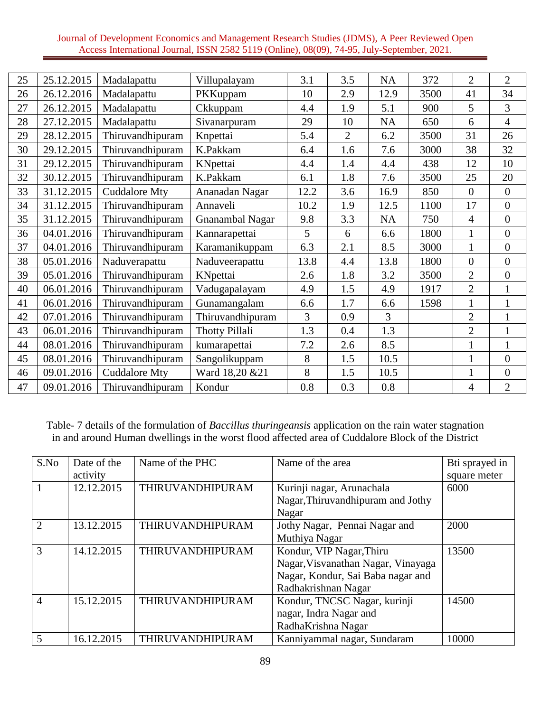| 25 | 25.12.2015 | Madalapattu          | Villupalayam          | 3.1  | 3.5            | NA             | 372  | $\overline{2}$ | $\overline{2}$   |
|----|------------|----------------------|-----------------------|------|----------------|----------------|------|----------------|------------------|
| 26 | 26.12.2016 | Madalapattu          | PKKuppam              | 10   | 2.9            | 12.9           | 3500 | 41             | 34               |
| 27 | 26.12.2015 | Madalapattu          | Ckkuppam              | 4.4  | 1.9            | 5.1            | 900  | 5              | 3                |
| 28 | 27.12.2015 | Madalapattu          | Sivanarpuram          | 29   | 10             | <b>NA</b>      | 650  | 6              | $\overline{4}$   |
| 29 | 28.12.2015 | Thiruvandhipuram     | Knpettai              | 5.4  | $\overline{2}$ | 6.2            | 3500 | 31             | 26               |
| 30 | 29.12.2015 | Thiruvandhipuram     | K.Pakkam              | 6.4  | 1.6            | 7.6            | 3000 | 38             | 32               |
| 31 | 29.12.2015 | Thiruvandhipuram     | KNpettai              | 4.4  | 1.4            | 4.4            | 438  | 12             | 10               |
| 32 | 30.12.2015 | Thiruvandhipuram     | K.Pakkam              | 6.1  | 1.8            | 7.6            | 3500 | 25             | 20               |
| 33 | 31.12.2015 | <b>Cuddalore Mty</b> | Ananadan Nagar        | 12.2 | 3.6            | 16.9           | 850  | $\overline{0}$ | $\boldsymbol{0}$ |
| 34 | 31.12.2015 | Thiruvandhipuram     | Annaveli              | 10.2 | 1.9            | 12.5           | 1100 | 17             | $\overline{0}$   |
| 35 | 31.12.2015 | Thiruvandhipuram     | Gnanambal Nagar       | 9.8  | 3.3            | <b>NA</b>      | 750  | $\overline{4}$ | $\overline{0}$   |
| 36 | 04.01.2016 | Thiruvandhipuram     | Kannarapettai         | 5    | 6              | 6.6            | 1800 | $\mathbf{1}$   | $\overline{0}$   |
| 37 | 04.01.2016 | Thiruvandhipuram     | Karamanikuppam        | 6.3  | 2.1            | 8.5            | 3000 | $\mathbf{1}$   | $\overline{0}$   |
| 38 | 05.01.2016 | Naduverapattu        | Naduveerapattu        | 13.8 | 4.4            | 13.8           | 1800 | $\overline{0}$ | $\overline{0}$   |
| 39 | 05.01.2016 | Thiruvandhipuram     | KNpettai              | 2.6  | 1.8            | 3.2            | 3500 | $\overline{2}$ | $\overline{0}$   |
| 40 | 06.01.2016 | Thiruvandhipuram     | Vadugapalayam         | 4.9  | 1.5            | 4.9            | 1917 | $\overline{2}$ | $\mathbf{1}$     |
| 41 | 06.01.2016 | Thiruvandhipuram     | Gunamangalam          | 6.6  | 1.7            | 6.6            | 1598 | $\mathbf{1}$   | $\mathbf{1}$     |
| 42 | 07.01.2016 | Thiruvandhipuram     | Thiruvandhipuram      | 3    | 0.9            | $\overline{3}$ |      | $\overline{2}$ | $\mathbf{1}$     |
| 43 | 06.01.2016 | Thiruvandhipuram     | <b>Thotty Pillali</b> | 1.3  | 0.4            | 1.3            |      | $\overline{2}$ | $\mathbf{1}$     |
| 44 | 08.01.2016 | Thiruvandhipuram     | kumarapettai          | 7.2  | 2.6            | 8.5            |      | $\mathbf{1}$   | $\mathbf{1}$     |
| 45 | 08.01.2016 | Thiruvandhipuram     | Sangolikuppam         | 8    | 1.5            | 10.5           |      | 1              | $\overline{0}$   |
| 46 | 09.01.2016 | <b>Cuddalore Mty</b> | Ward 18,20 & 21       | 8    | 1.5            | 10.5           |      | $\mathbf{1}$   | $\overline{0}$   |
| 47 | 09.01.2016 | Thiruvandhipuram     | Kondur                | 0.8  | 0.3            | 0.8            |      | 4              | $\overline{2}$   |

Table- 7 details of the formulation of *Baccillus thuringeansis* application on the rain water stagnation in and around Human dwellings in the worst flood affected area of Cuddalore Block of the District

| S.No           | Date of the | Name of the PHC         | Name of the area                   | Bti sprayed in |
|----------------|-------------|-------------------------|------------------------------------|----------------|
|                | activity    |                         |                                    | square meter   |
|                | 12.12.2015  | <b>THIRUVANDHIPURAM</b> | Kurinji nagar, Arunachala          | 6000           |
|                |             |                         | Nagar, Thiruvandhipuram and Jothy  |                |
|                |             |                         | Nagar                              |                |
| $\overline{2}$ | 13.12.2015  | THIRUVANDHIPURAM        | Jothy Nagar, Pennai Nagar and      | 2000           |
|                |             |                         | Muthiya Nagar                      |                |
| 3              | 14.12.2015  | THIRUVANDHIPURAM        | Kondur, VIP Nagar, Thiru           | 13500          |
|                |             |                         | Nagar, Visvanathan Nagar, Vinayaga |                |
|                |             |                         | Nagar, Kondur, Sai Baba nagar and  |                |
|                |             |                         | Radhakrishnan Nagar                |                |
| $\overline{4}$ | 15.12.2015  | <b>THIRUVANDHIPURAM</b> | Kondur, TNCSC Nagar, kurinji       | 14500          |
|                |             |                         | nagar, Indra Nagar and             |                |
|                |             |                         | RadhaKrishna Nagar                 |                |
| 5              | 16.12.2015  | THIRUVANDHIPURAM        | Kanniyammal nagar, Sundaram        | 10000          |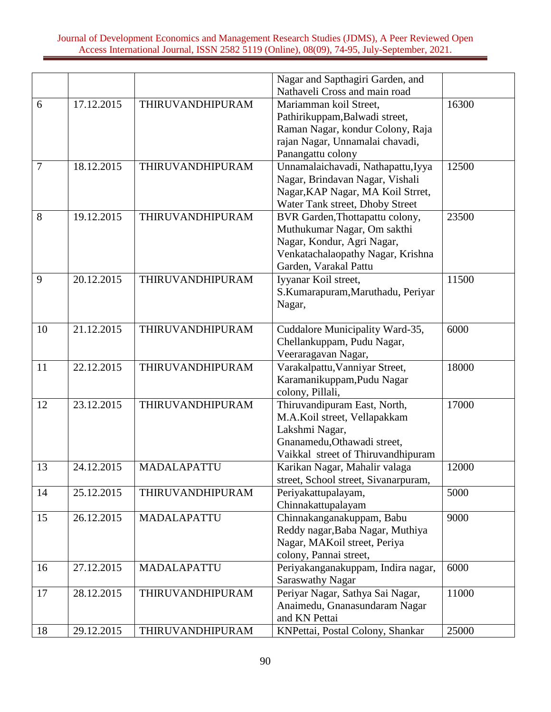|    |            |                    | Nagar and Sapthagiri Garden, and     |       |
|----|------------|--------------------|--------------------------------------|-------|
|    |            |                    | Nathaveli Cross and main road        |       |
| 6  | 17.12.2015 | THIRUVANDHIPURAM   | Mariamman koil Street,               | 16300 |
|    |            |                    | Pathirikuppam, Balwadi street,       |       |
|    |            |                    | Raman Nagar, kondur Colony, Raja     |       |
|    |            |                    | rajan Nagar, Unnamalai chavadi,      |       |
|    |            |                    | Panangattu colony                    |       |
| 7  | 18.12.2015 | THIRUVANDHIPURAM   | Unnamalaichavadi, Nathapattu, Iyya   | 12500 |
|    |            |                    | Nagar, Brindavan Nagar, Vishali      |       |
|    |            |                    | Nagar, KAP Nagar, MA Koil Strret,    |       |
|    |            |                    | Water Tank street, Dhoby Street      |       |
| 8  | 19.12.2015 | THIRUVANDHIPURAM   | BVR Garden, Thottapattu colony,      | 23500 |
|    |            |                    | Muthukumar Nagar, Om sakthi          |       |
|    |            |                    | Nagar, Kondur, Agri Nagar,           |       |
|    |            |                    | Venkatachalaopathy Nagar, Krishna    |       |
|    |            |                    | Garden, Varakal Pattu                |       |
| 9  | 20.12.2015 | THIRUVANDHIPURAM   | Iyyanar Koil street,                 | 11500 |
|    |            |                    | S.Kumarapuram,Maruthadu, Periyar     |       |
|    |            |                    | Nagar,                               |       |
| 10 | 21.12.2015 | THIRUVANDHIPURAM   | Cuddalore Municipality Ward-35,      | 6000  |
|    |            |                    | Chellankuppam, Pudu Nagar,           |       |
|    |            |                    | Veeraragavan Nagar,                  |       |
| 11 | 22.12.2015 | THIRUVANDHIPURAM   | Varakalpattu, Vanniyar Street,       | 18000 |
|    |            |                    | Karamanikuppam, Pudu Nagar           |       |
|    |            |                    | colony, Pillali,                     |       |
| 12 | 23.12.2015 | THIRUVANDHIPURAM   | Thiruvandipuram East, North,         | 17000 |
|    |            |                    | M.A.Koil street, Vellapakkam         |       |
|    |            |                    | Lakshmi Nagar,                       |       |
|    |            |                    | Gnanamedu, Othawadi street,          |       |
|    |            |                    | Vaikkal street of Thiruvandhipuram   |       |
| 13 | 24.12.2015 | MADALAPATTU        | Karikan Nagar, Mahalir valaga        | 12000 |
|    |            |                    | street, School street, Sivanarpuram, |       |
| 14 | 25.12.2015 | THIRUVANDHIPURAM   | Periyakattupalayam,                  | 5000  |
|    |            |                    | Chinnakattupalayam                   |       |
| 15 | 26.12.2015 | <b>MADALAPATTU</b> | Chinnakanganakuppam, Babu            | 9000  |
|    |            |                    | Reddy nagar, Baba Nagar, Muthiya     |       |
|    |            |                    | Nagar, MAKoil street, Periya         |       |
|    |            |                    | colony, Pannai street,               |       |
| 16 | 27.12.2015 | MADALAPATTU        | Periyakanganakuppam, Indira nagar,   | 6000  |
|    |            |                    | <b>Saraswathy Nagar</b>              |       |
| 17 | 28.12.2015 | THIRUVANDHIPURAM   | Periyar Nagar, Sathya Sai Nagar,     | 11000 |
|    |            |                    | Anaimedu, Gnanasundaram Nagar        |       |
|    |            |                    | and KN Pettai                        |       |
| 18 | 29.12.2015 | THIRUVANDHIPURAM   | KNPettai, Postal Colony, Shankar     | 25000 |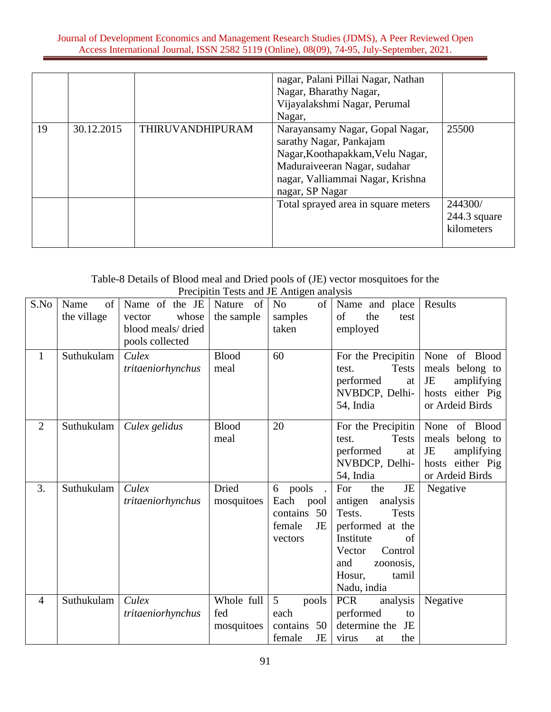|    |            |                         | nagar, Palani Pillai Nagar, Nathan                                                                                                                                                    |                                         |
|----|------------|-------------------------|---------------------------------------------------------------------------------------------------------------------------------------------------------------------------------------|-----------------------------------------|
|    |            |                         | Nagar, Bharathy Nagar,                                                                                                                                                                |                                         |
|    |            |                         | Vijayalakshmi Nagar, Perumal                                                                                                                                                          |                                         |
|    |            |                         | Nagar,                                                                                                                                                                                |                                         |
| 19 | 30.12.2015 | <b>THIRUVANDHIPURAM</b> | Narayansamy Nagar, Gopal Nagar,<br>sarathy Nagar, Pankajam<br>Nagar, Koothapakkam, Velu Nagar,<br>Maduraiveeran Nagar, sudahar<br>nagar, Valliammai Nagar, Krishna<br>nagar, SP Nagar | 25500                                   |
|    |            |                         | Total sprayed area in square meters                                                                                                                                                   | 244300/<br>$244.3$ square<br>kilometers |

# Table-8 Details of Blood meal and Dried pools of (JE) vector mosquitoes for the Precipitin Tests and JE Antigen analysis

| S.No           | Name<br>of<br>the village | Name of the JE<br>whose<br>vector<br>blood meals/dried<br>pools collected | Nature<br>- of<br>the sample    | N <sub>0</sub><br>of<br>samples<br>taken                          | Name and place<br>of<br>the<br>test<br>employed                                                                                                                                     | Results                                                                                           |
|----------------|---------------------------|---------------------------------------------------------------------------|---------------------------------|-------------------------------------------------------------------|-------------------------------------------------------------------------------------------------------------------------------------------------------------------------------------|---------------------------------------------------------------------------------------------------|
| $\mathbf{1}$   | Suthukulam                | Culex<br>tritaeniorhynchus                                                | <b>Blood</b><br>meal            | 60                                                                | For the Precipitin<br><b>Tests</b><br>test.<br>performed<br>at<br>NVBDCP, Delhi-<br>54, India                                                                                       | of Blood<br>None<br>meals belong to<br>JE<br>amplifying<br>hosts either Pig<br>or Ardeid Birds    |
| $\overline{2}$ | Suthukulam                | Culex gelidus                                                             | <b>Blood</b><br>meal            | 20                                                                | For the Precipitin<br><b>Tests</b><br>test.<br>performed<br>at<br>NVBDCP, Delhi-<br>54, India                                                                                       | of Blood<br>None<br>meals<br>belong to<br>JE<br>amplifying<br>hosts either Pig<br>or Ardeid Birds |
| 3.             | Suthukulam                | Culex<br>tritaeniorhynchus                                                | Dried<br>mosquitoes             | 6 pools<br>Each<br>pool<br>contains 50<br>female<br>JE<br>vectors | For<br>JE<br>the<br>antigen<br>analysis<br>Tests.<br><b>Tests</b><br>performed at the<br>Institute<br>of<br>Control<br>Vector<br>and<br>zoonosis,<br>Hosur,<br>tamil<br>Nadu, india | Negative                                                                                          |
| $\overline{4}$ | Suthukulam                | Culex<br>tritaeniorhynchus                                                | Whole full<br>fed<br>mosquitoes | $\overline{5}$<br>pools<br>each<br>contains 50<br>female<br>JE    | <b>PCR</b><br>analysis<br>performed<br>to<br>determine the JE<br>the<br>virus<br>at                                                                                                 | Negative                                                                                          |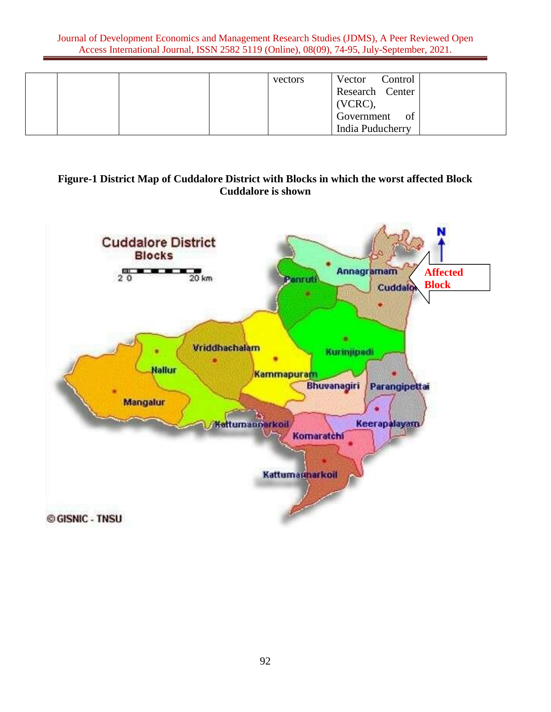|  |  | vectors | Control<br>Vector |  |
|--|--|---------|-------------------|--|
|  |  |         | Research Center   |  |
|  |  |         | $(VCRC)$ ,        |  |
|  |  |         | Government<br>of  |  |
|  |  |         | India Puducherry  |  |

# **Figure-1 District Map of Cuddalore District with Blocks in which the worst affected Block Cuddalore is shown**

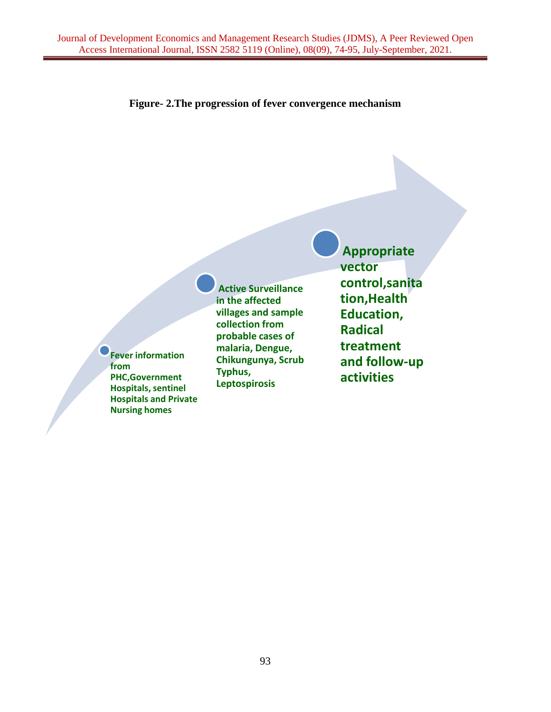

**Fever information from PHC,Government Hospitals, sentinel Hospitals and Private Nursing homes**

**Active Surveillance in the affected villages and sample collection from probable cases of malaria, Dengue, Chikungunya, Scrub Typhus, Leptospirosis**

**Appropriate vector control,sanita tion,Health Education, Radical treatment and follow-up activities**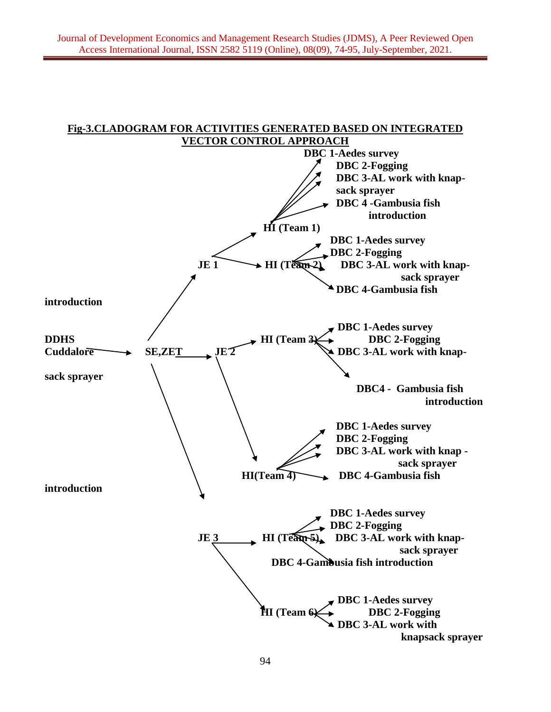